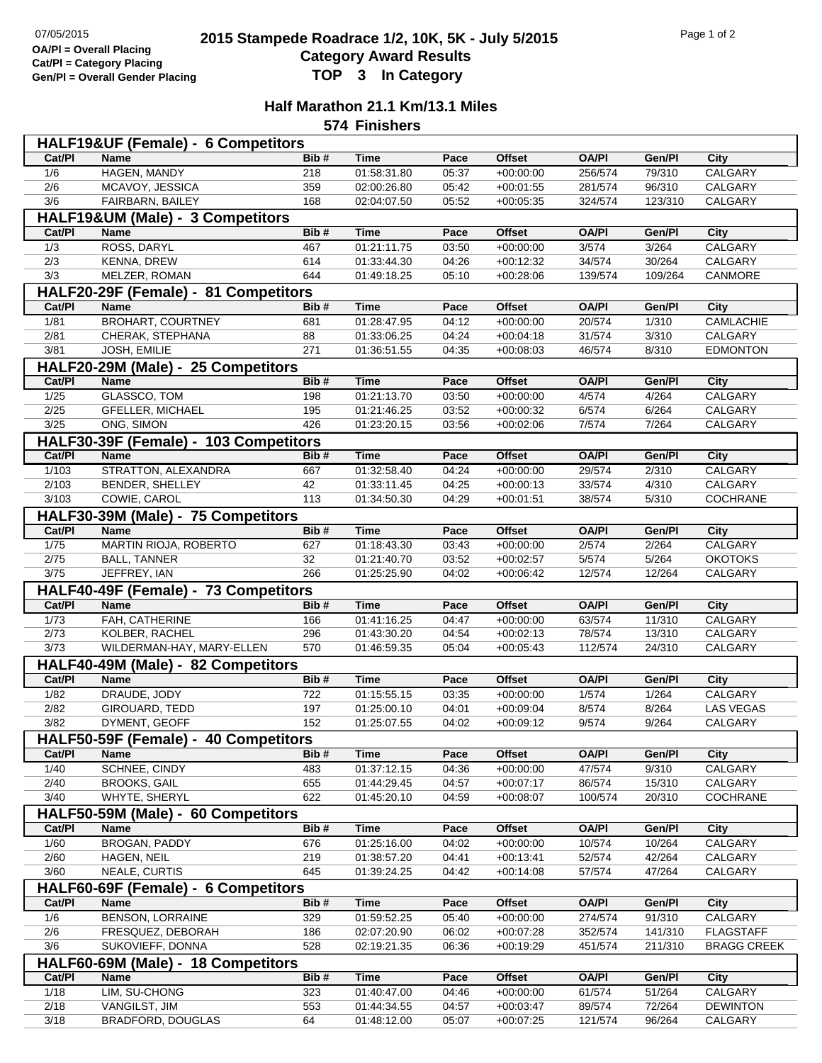## **2015 Stampede Roadrace 1/2, 10K, 5K - July 5/2015** Page 1 of 2<br> **2015 Stampede Roadrace 1/2, 10K, 5K - July 5/2015 Category Award Results Gen/Pl = Overall Gender Placing TOP 3 In Category**

## **Half Marathon 21.1 Km/13.1 Miles**

**574 Finishers**

|                                  | HALF19&UF (Female) - 6 Competitors    |      |                            |       |                            |              |         |                    |  |  |
|----------------------------------|---------------------------------------|------|----------------------------|-------|----------------------------|--------------|---------|--------------------|--|--|
| Cat/PI                           | <b>Name</b>                           | Bib# | <b>Time</b>                | Pace  | <b>Offset</b>              | <b>OA/PI</b> | Gen/Pl  | City               |  |  |
| 1/6                              | HAGEN, MANDY                          | 218  | 01:58:31.80                | 05:37 | $+00:00:00$                | 256/574      | 79/310  | CALGARY            |  |  |
| $\overline{2/6}$                 | MCAVOY, JESSICA                       | 359  | 02:00:26.80                | 05:42 | $+00:01:55$                | 281/574      | 96/310  | CALGARY            |  |  |
| 3/6                              | FAIRBARN, BAILEY                      | 168  | 02:04:07.50                | 05:52 | $+00:05:35$                | 324/574      | 123/310 | <b>CALGARY</b>     |  |  |
| HALF19&UM (Male) - 3 Competitors |                                       |      |                            |       |                            |              |         |                    |  |  |
| Cat/PI                           | <b>Name</b>                           | Bib# | <b>Time</b>                | Pace  | <b>Offset</b>              | <b>OA/PI</b> | Gen/PI  | City               |  |  |
| 1/3                              | ROSS, DARYL                           | 467  | 01:21:11.75                | 03:50 | $+00:00:00$                | 3/574        | 3/264   | CALGARY            |  |  |
| $\overline{2/3}$                 | <b>KENNA, DREW</b>                    | 614  | 01:33:44.30                | 04:26 | $+00:12:32$                | 34/574       | 30/264  | CALGARY            |  |  |
| 3/3                              | MELZER, ROMAN                         | 644  | 01:49:18.25                | 05:10 | $+00:28:06$                | 139/574      | 109/264 | CANMORE            |  |  |
|                                  |                                       |      |                            |       |                            |              |         |                    |  |  |
|                                  | HALF20-29F (Female) - 81 Competitors  |      |                            |       |                            |              |         |                    |  |  |
| Cat/PI                           | <b>Name</b>                           | Bib# | <b>Time</b>                | Pace  | <b>Offset</b>              | <b>OA/PI</b> | Gen/PI  | City               |  |  |
| 1/81                             | <b>BROHART, COURTNEY</b>              | 681  | 01:28:47.95                | 04:12 | $+00:00:00$                | 20/574       | 1/310   | CAMLACHIE          |  |  |
| 2/81                             | CHERAK, STEPHANA                      | 88   | 01:33:06.25                | 04:24 | $+00:04:18$                | 31/574       | 3/310   | CALGARY            |  |  |
| 3/81                             | JOSH, EMILIE                          | 271  | 01:36:51.55                | 04:35 | $+00:08:03$                | 46/574       | 8/310   | <b>EDMONTON</b>    |  |  |
|                                  | HALF20-29M (Male) - 25 Competitors    |      |                            |       |                            |              |         |                    |  |  |
| Cat/PI                           | <b>Name</b>                           | Bib# | <b>Time</b>                | Pace  | <b>Offset</b>              | <b>OA/PI</b> | Gen/Pl  | $\overline{City}$  |  |  |
| $\frac{1}{25}$                   | <b>GLASSCO, TOM</b>                   | 198  | 01:21:13.70                | 03:50 | $+00:00:00$                | 4/574        | 4/264   | CALGARY            |  |  |
| 2/25                             | <b>GFELLER, MICHAEL</b>               | 195  | 01:21:46.25                | 03:52 | $+00:00:32$                | 6/574        | 6/264   | <b>CALGARY</b>     |  |  |
| 3/25                             | ONG, SIMON                            | 426  | 01:23:20.15                | 03:56 | $+00:02:06$                | 7/574        | 7/264   | CALGARY            |  |  |
|                                  | HALF30-39F (Female) - 103 Competitors |      |                            |       |                            |              |         |                    |  |  |
| Cat/PI                           | <b>Name</b>                           | Bib# | <b>Time</b>                | Pace  | <b>Offset</b>              | <b>OA/PI</b> | Gen/Pl  | <b>City</b>        |  |  |
| 1/103                            | STRATTON, ALEXANDRA                   | 667  | 01:32:58.40                | 04:24 | $+00:00:00$                | 29/574       | 2/310   | CALGARY            |  |  |
| 2/103                            | BENDER, SHELLEY                       | 42   | 01:33:11.45                | 04:25 | $+00:00:13$                | 33/574       | 4/310   | CALGARY            |  |  |
| 3/103                            | COWIE, CAROL                          | 113  | 01:34:50.30                | 04:29 | $+00:01:51$                | 38/574       | 5/310   | COCHRANE           |  |  |
|                                  | HALF30-39M (Male) - 75 Competitors    |      |                            |       |                            |              |         |                    |  |  |
| Cat/PI                           | <b>Name</b>                           | Bib# | <b>Time</b>                | Pace  | <b>Offset</b>              | <b>OA/PI</b> | Gen/PI  | <b>City</b>        |  |  |
| $\frac{1}{75}$                   | MARTIN RIOJA, ROBERTO                 | 627  |                            | 03:43 |                            | 2/574        | 2/264   | CALGARY            |  |  |
| 2/75                             |                                       | 32   | 01:18:43.30                | 03:52 | $+00:00:00$                | 5/574        | 5/264   | <b>OKOTOKS</b>     |  |  |
| 3/75                             | <b>BALL, TANNER</b><br>JEFFREY, IAN   | 266  | 01:21:40.70<br>01:25:25.90 | 04:02 | $+00:02:57$<br>$+00:06:42$ | 12/574       | 12/264  | CALGARY            |  |  |
|                                  |                                       |      |                            |       |                            |              |         |                    |  |  |
|                                  | HALF40-49F (Female) - 73 Competitors  |      |                            |       |                            |              |         |                    |  |  |
| Cat/PI                           | <b>Name</b>                           | Bib# | <b>Time</b>                | Pace  | <b>Offset</b>              | <b>OA/PI</b> | Gen/PI  | <b>City</b>        |  |  |
| 1/73                             | FAH, CATHERINE                        | 166  | 01:41:16.25                | 04:47 | $+00:00:00$                | 63/574       | 11/310  | CALGARY            |  |  |
| 2/73                             | KOLBER, RACHEL                        | 296  | 01:43:30.20                | 04:54 | $+00:02:13$                | 78/574       | 13/310  | CALGARY            |  |  |
| 3/73                             | WILDERMAN-HAY, MARY-ELLEN             | 570  | 01:46:59.35                | 05:04 | $+00:05:43$                | 112/574      | 24/310  | CALGARY            |  |  |
|                                  | HALF40-49M (Male) - 82 Competitors    |      |                            |       |                            |              |         |                    |  |  |
| Cat/PI                           | <b>Name</b>                           | Bib# | <b>Time</b>                | Pace  | <b>Offset</b>              | <b>OA/PI</b> | Gen/Pl  | <b>City</b>        |  |  |
| 1/82                             | DRAUDE, JODY                          | 722  | 01:15:55.15                | 03:35 | $+00:00:00$                | 1/574        | 1/264   | CALGARY            |  |  |
| 2/82                             | GIROUARD, TEDD                        | 197  | 01:25:00.10                | 04:01 | $+00:09:04$                | 8/574        | 8/264   | <b>LAS VEGAS</b>   |  |  |
| 3/82                             | DYMENT, GEOFF                         | 152  | 01:25:07.55                | 04:02 | $+00:09:12$                | 9/574        | 9/264   | CALGARY            |  |  |
|                                  | HALF50-59F (Female) - 40 Competitors  |      |                            |       |                            |              |         |                    |  |  |
| Cat/PI                           | <b>Name</b>                           | Bib# | <b>Time</b>                | Pace  | Offset                     | <b>OA/PI</b> | Gen/Pl  | City               |  |  |
| 1/40                             | <b>SCHNEE, CINDY</b>                  | 483  | 01:37:12.15                | 04:36 | $+00:00:00$                | 47/574       | 9/310   | CALGARY            |  |  |
| 2/40                             | <b>BROOKS, GAIL</b>                   | 655  | 01:44:29.45                | 04:57 | $+00:07:17$                | 86/574       | 15/310  | CALGARY            |  |  |
| 3/40                             | WHYTE, SHERYL                         | 622  | 01:45:20.10                | 04:59 | $+00:08:07$                | 100/574      | 20/310  | COCHRANE           |  |  |
|                                  | HALF50-59M (Male) - 60 Competitors    |      |                            |       |                            |              |         |                    |  |  |
|                                  |                                       |      |                            |       |                            |              |         |                    |  |  |
| Cat/PI                           | <b>Name</b>                           | Bib# | <b>Time</b>                | Pace  | <b>Offset</b>              | <b>OA/PI</b> | Gen/Pl  | City               |  |  |
| 1/60                             | <b>BROGAN, PADDY</b>                  | 676  | 01:25:16.00                | 04:02 | $+00:00:00$                | 10/574       | 10/264  | CALGARY            |  |  |
| 2/60                             | HAGEN, NEIL                           | 219  | 01:38:57.20                | 04:41 | $+00:13:41$                | 52/574       | 42/264  | CALGARY            |  |  |
| 3/60                             | NEALE, CURTIS                         | 645  | 01:39:24.25                | 04:42 | $+00:14:08$                | 57/574       | 47/264  | CALGARY            |  |  |
|                                  | HALF60-69F (Female) - 6 Competitors   |      |                            |       |                            |              |         |                    |  |  |
| Cat/PI                           | Name                                  | Bib# | <b>Time</b>                | Pace  | <b>Offset</b>              | <b>OA/PI</b> | Gen/Pl  | City               |  |  |
| 1/6                              | <b>BENSON, LORRAINE</b>               | 329  | 01:59:52.25                | 05:40 | $+00:00:00$                | 274/574      | 91/310  | CALGARY            |  |  |
| 2/6                              | FRESQUEZ, DEBORAH                     | 186  | 02:07:20.90                | 06:02 | $+00:07:28$                | 352/574      | 141/310 | <b>FLAGSTAFF</b>   |  |  |
| 3/6                              | SUKOVIEFF, DONNA                      | 528  | 02:19:21.35                | 06:36 | $+00:19:29$                | 451/574      | 211/310 | <b>BRAGG CREEK</b> |  |  |
|                                  | HALF60-69M (Male) - 18 Competitors    |      |                            |       |                            |              |         |                    |  |  |
| Cat/PI                           | Name                                  | Bib# | <b>Time</b>                | Pace  | <b>Offset</b>              | <b>OA/PI</b> | Gen/Pl  | City               |  |  |
| 1/18                             | LIM, SU-CHONG                         | 323  | 01:40:47.00                | 04:46 | $+00:00:00$                | 61/574       | 51/264  | CALGARY            |  |  |
| 2/18                             | VANGILST, JIM                         | 553  | 01:44:34.55                | 04:57 | $+00:03:47$                | 89/574       | 72/264  | <b>DEWINTON</b>    |  |  |
|                                  |                                       |      |                            |       |                            |              |         |                    |  |  |
| 3/18                             | BRADFORD, DOUGLAS                     | 64   | 01:48:12.00                | 05:07 | $+00:07:25$                | 121/574      | 96/264  | CALGARY            |  |  |